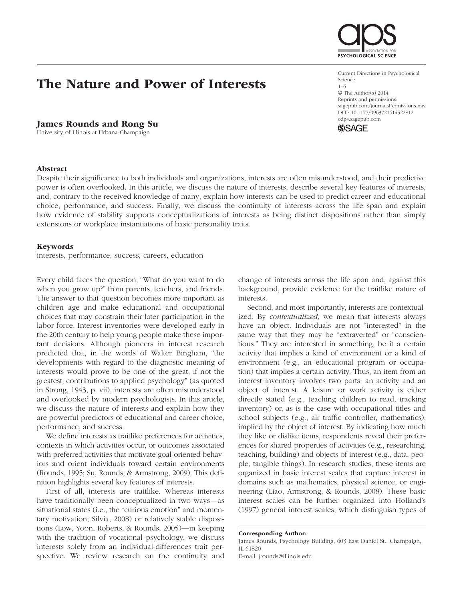# The Nature and Power of Interests

## James Rounds and Rong Su

University of Illinois at Urbana-Champaign

### Abstract

Despite their significance to both individuals and organizations, interests are often misunderstood, and their predictive power is often overlooked. In this article, we discuss the nature of interests, describe several key features of interests, and, contrary to the received knowledge of many, explain how interests can be used to predict career and educational choice, performance, and success. Finally, we discuss the continuity of interests across the life span and explain how evidence of stability supports conceptualizations of interests as being distinct dispositions rather than simply extensions or workplace instantiations of basic personality traits.

### Keywords

interests, performance, success, careers, education

Every child faces the question, "What do you want to do when you grow up?" from parents, teachers, and friends. The answer to that question becomes more important as children age and make educational and occupational choices that may constrain their later participation in the labor force. Interest inventories were developed early in the 20th century to help young people make these important decisions. Although pioneers in interest research predicted that, in the words of Walter Bingham, "the developments with regard to the diagnostic meaning of interests would prove to be one of the great, if not the greatest, contributions to applied psychology" (as quoted in Strong, 1943, p. vii), interests are often misunderstood and overlooked by modern psychologists. In this article, we discuss the nature of interests and explain how they are powerful predictors of educational and career choice, performance, and success.

We define interests as traitlike preferences for activities, contexts in which activities occur, or outcomes associated with preferred activities that motivate goal-oriented behaviors and orient individuals toward certain environments (Rounds, 1995; Su, Rounds, & Armstrong, 2009). This definition highlights several key features of interests.

First of all, interests are traitlike. Whereas interests have traditionally been conceptualized in two ways—as situational states (i.e., the "curious emotion" and momentary motivation; Silvia, 2008) or relatively stable dispositions (Low, Yoon, Roberts, & Rounds, 2005)—in keeping with the tradition of vocational psychology, we discuss interests solely from an individual-differences trait perspective. We review research on the continuity and change of interests across the life span and, against this background, provide evidence for the traitlike nature of interests.

Second, and most importantly, interests are contextualized. By *contextualized*, we mean that interests always have an object. Individuals are not "interested" in the same way that they may be "extraverted" or "conscientious." They are interested in something, be it a certain activity that implies a kind of environment or a kind of environment (e.g., an educational program or occupation) that implies a certain activity. Thus, an item from an interest inventory involves two parts: an activity and an object of interest. A leisure or work activity is either directly stated (e.g., teaching children to read, tracking inventory) or, as is the case with occupational titles and school subjects (e.g., air traffic controller, mathematics), implied by the object of interest. By indicating how much they like or dislike items, respondents reveal their preferences for shared properties of activities (e.g., researching, teaching, building) and objects of interest (e.g., data, people, tangible things). In research studies, these items are organized in basic interest scales that capture interest in domains such as mathematics, physical science, or engineering (Liao, Armstrong, & Rounds, 2008). These basic interest scales can be further organized into Holland's (1997) general interest scales, which distinguish types of

Current Directions in Psychological Science 1–6 © The Author(s) 2014 Reprints and permissions: sagepub.com/journalsPermissions.nav DOI: 10.1177/0963721414522812

cdps.sagepub.com **SSAGE** 



Corresponding Author:

James Rounds, Psychology Building, 603 East Daniel St., Champaign, IL 61820

E-mail: jrounds@illinois.edu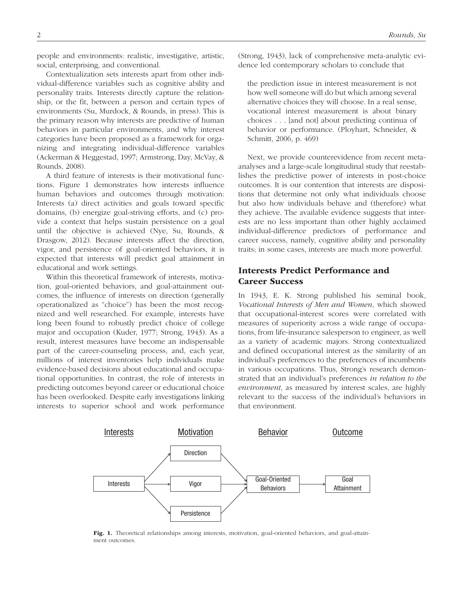people and environments: realistic, investigative, artistic, social, enterprising, and conventional.

Contextualization sets interests apart from other individual-difference variables such as cognitive ability and personality traits. Interests directly capture the relationship, or the fit, between a person and certain types of environments (Su, Murdock, & Rounds, in press). This is the primary reason why interests are predictive of human behaviors in particular environments, and why interest categories have been proposed as a framework for organizing and integrating individual-difference variables (Ackerman & Heggestad, 1997; Armstrong, Day, McVay, & Rounds, 2008).

A third feature of interests is their motivational functions. Figure 1 demonstrates how interests influence human behaviors and outcomes through motivation: Interests (a) direct activities and goals toward specific domains, (b) energize goal-striving efforts, and (c) provide a context that helps sustain persistence on a goal until the objective is achieved (Nye, Su, Rounds, & Drasgow, 2012). Because interests affect the direction, vigor, and persistence of goal-oriented behaviors, it is expected that interests will predict goal attainment in educational and work settings.

Within this theoretical framework of interests, motivation, goal-oriented behaviors, and goal-attainment outcomes, the influence of interests on direction (generally operationalized as "choice") has been the most recognized and well researched. For example, interests have long been found to robustly predict choice of college major and occupation (Kuder, 1977; Strong, 1943). As a result, interest measures have become an indispensable part of the career-counseling process, and, each year, millions of interest inventories help individuals make evidence-based decisions about educational and occupational opportunities. In contrast, the role of interests in predicting outcomes beyond career or educational choice has been overlooked. Despite early investigations linking interests to superior school and work performance (Strong, 1943), lack of comprehensive meta-analytic evidence led contemporary scholars to conclude that

the prediction issue in interest measurement is not how well someone will do but which among several alternative choices they will choose. In a real sense, vocational interest measurement is about binary choices . . . [and not] about predicting continua of behavior or performance. (Ployhart, Schneider, & Schmitt, 2006, p. 469)

Next, we provide counterevidence from recent metaanalyses and a large-scale longitudinal study that reestablishes the predictive power of interests in post-choice outcomes. It is our contention that interests are dispositions that determine not only what individuals choose but also how individuals behave and (therefore) what they achieve. The available evidence suggests that interests are no less important than other highly acclaimed individual-difference predictors of performance and career success, namely, cognitive ability and personality traits; in some cases, interests are much more powerful.

# Interests Predict Performance and Career Success

In 1943, E. K. Strong published his seminal book, *Vocational Interests of Men and Women*, which showed that occupational-interest scores were correlated with measures of superiority across a wide range of occupations, from life-insurance salesperson to engineer, as well as a variety of academic majors. Strong contextualized and defined occupational interest as the similarity of an individual's preferences to the preferences of incumbents in various occupations. Thus, Strong's research demonstrated that an individual's preferences *in relation to the environment*, as measured by interest scales, are highly relevant to the success of the individual's behaviors in that environment.



Fig. 1. Theoretical relationships among interests, motivation, goal-oriented behaviors, and goal-attainment outcomes.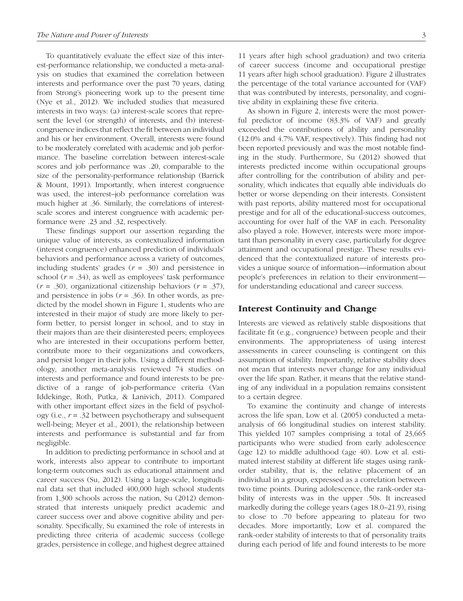To quantitatively evaluate the effect size of this interest-performance relationship, we conducted a meta-analysis on studies that examined the correlation between interests and performance over the past 70 years, dating from Strong's pioneering work up to the present time (Nye et al., 2012). We included studies that measured interests in two ways: (a) interest-scale scores that represent the level (or strength) of interests, and (b) interestcongruence indices that reflect the fit between an individual and his or her environment. Overall, interests were found to be moderately correlated with academic and job performance. The baseline correlation between interest-scale scores and job performance was .20, comparable to the size of the personality-performance relationship (Barrick & Mount, 1991). Importantly, when interest congruence was used, the interest–job performance correlation was much higher at .36. Similarly, the correlations of interestscale scores and interest congruence with academic performance were .23 and .32, respectively.

These findings support our assertion regarding the unique value of interests, as contextualized information (interest congruence) enhanced prediction of individuals' behaviors and performance across a variety of outcomes, including students' grades (*r* = .30) and persistence in school (*r* = .34), as well as employees' task performance (*r* = .30), organizational citizenship behaviors (*r* = .37), and persistence in jobs  $(r = .36)$ . In other words, as predicted by the model shown in Figure 1, students who are interested in their major of study are more likely to perform better, to persist longer in school, and to stay in their majors than are their disinterested peers; employees who are interested in their occupations perform better, contribute more to their organizations and coworkers, and persist longer in their jobs. Using a different methodology, another meta-analysis reviewed 74 studies on interests and performance and found interests to be predictive of a range of job-performance criteria (Van Iddekinge, Roth, Putka, & Lanivich, 2011). Compared with other important effect sizes in the field of psychology (i.e., *r* = .32 between psychotherapy and subsequent well-being; Meyer et al., 2001), the relationship between interests and performance is substantial and far from negligible.

In addition to predicting performance in school and at work, interests also appear to contribute to important long-term outcomes such as educational attainment and career success (Su, 2012). Using a large-scale, longitudinal data set that included 400,000 high school students from 1,300 schools across the nation, Su (2012) demonstrated that interests uniquely predict academic and career success over and above cognitive ability and personality. Specifically, Su examined the role of interests in predicting three criteria of academic success (college grades, persistence in college, and highest degree attained 11 years after high school graduation) and two criteria of career success (income and occupational prestige 11 years after high school graduation). Figure 2 illustrates the percentage of the total variance accounted for (VAF) that was contributed by interests, personality, and cognitive ability in explaining these five criteria.

As shown in Figure 2, interests were the most powerful predictor of income (83.3% of VAF) and greatly exceeded the contributions of ability and personality (12.0% and 4.7% VAF, respectively). This finding had not been reported previously and was the most notable finding in the study. Furthermore, Su (2012) showed that interests predicted income within occupational groups after controlling for the contribution of ability and personality, which indicates that equally able individuals do better or worse depending on their interests. Consistent with past reports, ability mattered most for occupational prestige and for all of the educational-success outcomes, accounting for over half of the VAF in each. Personality also played a role. However, interests were more important than personality in every case, particularly for degree attainment and occupational prestige. These results evidenced that the contextualized nature of interests provides a unique source of information—information about people's preferences in relation to their environment for understanding educational and career success.

### Interest Continuity and Change

Interests are viewed as relatively stable dispositions that facilitate fit (e.g., congruence) between people and their environments. The appropriateness of using interest assessments in career counseling is contingent on this assumption of stability. Importantly, relative stability does not mean that interests never change for any individual over the life span. Rather, it means that the relative standing of any individual in a population remains consistent to a certain degree.

To examine the continuity and change of interests across the life span, Low et al. (2005) conducted a metaanalysis of 66 longitudinal studies on interest stability. This yielded 107 samples comprising a total of 23,665 participants who were studied from early adolescence (age 12) to middle adulthood (age 40). Low et al. estimated interest stability at different life stages using rankorder stability, that is, the relative placement of an individual in a group, expressed as a correlation between two time points. During adolescence, the rank-order stability of interests was in the upper .50s. It increased markedly during the college years (ages 18.0–21.9), rising to close to .70 before appearing to plateau for two decades. More importantly, Low et al. compared the rank-order stability of interests to that of personality traits during each period of life and found interests to be more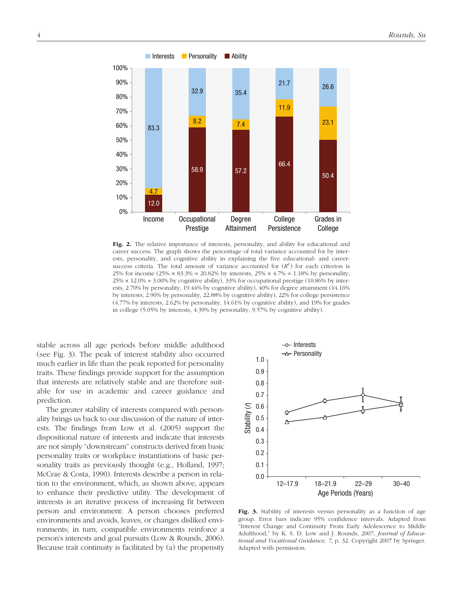

Fig. 2. The relative importance of interests, personality, and ability for educational and career success. The graph shows the percentage of total variance accounted for by interests, personality, and cognitive ability in explaining the five educational- and careersuccess criteria. The total amount of variance accounted for  $(R^2)$  for each criterion is 25% for income  $(25\% \times 83.3\% = 20.82\%$  by interests,  $25\% \times 4.7\% = 1.18\%$  by personality,  $25\% \times 12.0\% = 3.00\%$  by cognitive ability), 33% for occupational prestige (10.86% by interests, 2.70% by personality, 19.44% by cognitive ability), 40% for degree attainment (14.16% by interests, 2.96% by personality, 22.88% by cognitive ability), 22% for college persistence (4.77% by interests, 2.62% by personality, 14.61% by cognitive ability), and 19% for grades in college (5.05% by interests, 4.39% by personality, 9.57% by cognitive ability).

stable across all age periods before middle adulthood (see Fig. 3). The peak of interest stability also occurred much earlier in life than the peak reported for personality traits. These findings provide support for the assumption that interests are relatively stable and are therefore suitable for use in academic and career guidance and prediction.

The greater stability of interests compared with personality brings us back to our discussion of the nature of interests. The findings from Low et al. (2005) support the dispositional nature of interests and indicate that interests are not simply "downstream" constructs derived from basic personality traits or workplace instantiations of basic personality traits as previously thought (e.g., Holland, 1997; McCrae & Costa, 1990). Interests describe a person in relation to the environment, which, as shown above, appears to enhance their predictive utility. The development of interests is an iterative process of increasing fit between person and environment: A person chooses preferred environments and avoids, leaves, or changes disliked environments; in turn, compatible environments reinforce a person's interests and goal pursuits (Low & Rounds, 2006). Because trait continuity is facilitated by (a) the propensity



Fig. 3. Stability of interests versus personality as a function of age group. Error bars indicate 95% confidence intervals. Adapted from "Interest Change and Continuity From Early Adolescence to Middle Adulthood," by K. S. D. Low and J. Rounds, 2007, *Journal of Educational and Vocational Guidance, 7*, p. 32. Copyright 2007 by Springer. Adapted with permission.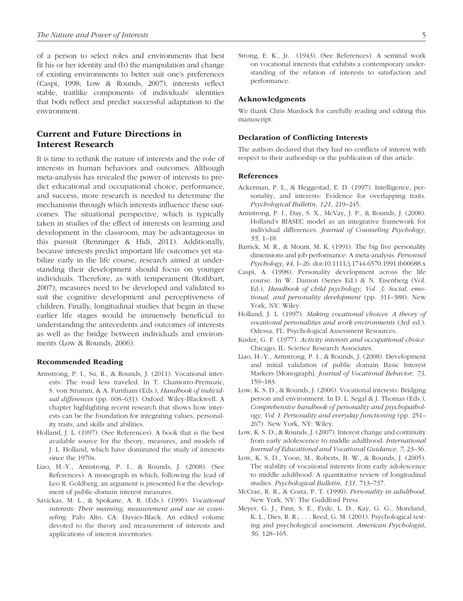of a person to select roles and environments that best fit his or her identity and (b) the manipulation and change of existing environments to better suit one's preferences (Caspi, 1998; Low & Rounds, 2007), interests reflect stable, traitlike components of individuals' identities that both reflect and predict successful adaptation to the environment.

# Current and Future Directions in Interest Research

It is time to rethink the nature of interests and the role of interests in human behaviors and outcomes. Although meta-analysis has revealed the power of interests to predict educational and occupational choice, performance, and success, more research is needed to determine the mechanisms through which interests influence these outcomes. The situational perspective, which is typically taken in studies of the effect of interests on learning and development in the classroom, may be advantageous in this pursuit (Renninger & Hidi, 2011). Additionally, because interests predict important life outcomes yet stabilize early in the life course, research aimed at understanding their development should focus on younger individuals. Therefore, as with temperament (Rothbart, 2007), measures need to be developed and validated to suit the cognitive development and perceptiveness of children. Finally, longitudinal studies that begin in these earlier life stages would be immensely beneficial to understanding the antecedents and outcomes of interests as well as the bridge between individuals and environments (Low & Rounds, 2006).

#### Recommended Reading

- Armstrong, P. I., Su, R., & Rounds, J. (2011). Vocational interests: The road less traveled. In T. Chamorro-Premuzic, S. von Strumm, & A. Furnham (Eds.), *Handbook of individual differences* (pp. 608–631). Oxford: Wiley-Blackwell. A chapter highlighting recent research that shows how interests can be the foundation for integrating values, personality traits, and skills and abilities.
- Holland, J. L. (1997). (See References). A book that is the best available source for the theory, measures, and models of J. L. Holland, which have dominated the study of interests since the 1970s.
- Liao, H.-Y., Armstrong, P. I., & Rounds, J. (2008). (See References). A monograph in which, following the lead of Leo R. Goldberg, an argument is presented for the development of public-domain interest measures.
- Savickas, M. L., & Spokane, A. R. (Eds.). (1999). *Vocational interests: Their meaning, measurement and use in counseling*. Palo Alto, CA: Davies-Black. An edited volume devoted to the theory and measurement of interests and applications of interest inventories.

Strong, E. K., Jr. (1943). (See References). A seminal work on vocational interests that exhibits a contemporary understanding of the relation of interests to satisfaction and performance.

### Acknowledgments

We thank Chris Murdock for carefully reading and editing this manuscript.

#### Declaration of Conflicting Interests

The authors declared that they had no conflicts of interest with respect to their authorship or the publication of this article.

### References

- Ackerman, P. L., & Heggestad, E. D. (1997). Intelligence, personality, and interests: Evidence for overlapping traits. *Psychological Bulletin*, *121*, 219–245.
- Armstrong, P. I., Day, S. X., McVay, J. P., & Rounds, J. (2008). Holland's RIASEC model as an integrative framework for individual differences. *Journal of Counseling Psychology*, *55*, 1–18.
- Barrick, M. R., & Mount, M. K. (1991). The big five personality dimensions and job performance: A meta-analysis. *Personnel Psychology*, *44*, 1–26. doi:10.1111/j.1744-6570.1991.tb00688.x
- Caspi, A. (1998). Personality development across the life course. In W. Damon (Series Ed.) & N. Eisenberg (Vol. Ed.), *Handbook of child psychology, Vol. 3: Social, emotional, and personality development* (pp. 311–388). New York, NY: Wiley.
- Holland, J. L. (1997). *Making vocational choices: A theory of vocational personalities and work environments* (3rd ed.). Odessa, FL: Psychological Assessment Resources.
- Kuder, G. F. (1977). *Activity interests and occupational choice*. Chicago, IL: Science Research Associates.
- Liao, H.-Y., Armstrong, P. I., & Rounds, J. (2008). Development and initial validation of public domain Basic Interest Markers [Monograph]. *Journal of Vocational Behavior*, *73*, 159–183.
- Low, K. S. D., & Rounds, J. (2006). Vocational interests: Bridging person and environment. In D. L. Segal & J. Thomas (Eds.), *Comprehensive handbook of personality and psychopathology, Vol. I: Personality and everyday functioning* (pp. 251– 267). New York, NY: Wiley.
- Low, K. S. D., & Rounds, J. (2007). Interest change and continuity from early adolescence to middle adulthood. *International Journal of Educational and Vocational Guidance*, *7*, 23–36.
- Low, K. S. D., Yoon, M., Roberts, B. W., & Rounds, J. (2005). The stability of vocational interests from early adolescence to middle adulthood: A quantitative review of longitudinal studies. *Psychological Bulletin*, *131*, 713–737.
- McCrae, R. R., & Costa, P. T. (1990). *Personality in adulthood*. New York, NY: The Guildford Press.
- Meyer, G. J., Finn, S. E., Eyde, L. D., Kay, G. G., Moreland, K. L., Dies, R. R., . . . Reed, G. M. (2001). Psychological testing and psychological assessment. *American Psychologist*, *56*, 128–165.